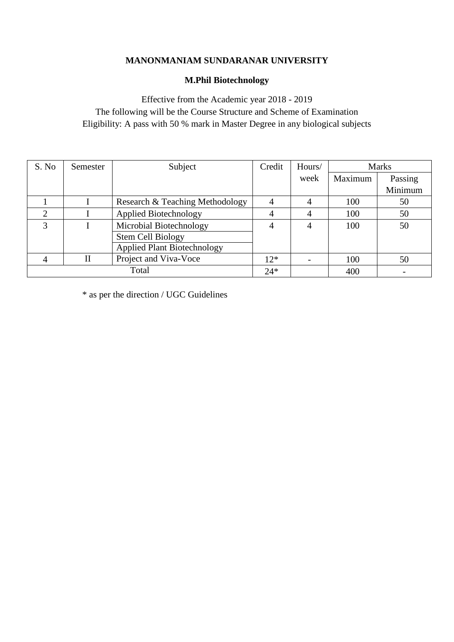## **MANONMANIAM SUNDARANAR UNIVERSITY**

# **M.Phil Biotechnology**

Effective from the Academic year 2018 - 2019 The following will be the Course Structure and Scheme of Examination Eligibility: A pass with 50 % mark in Master Degree in any biological subjects

| S. No | Semester | Subject                            | Credit | Hours/ | <b>Marks</b> |         |
|-------|----------|------------------------------------|--------|--------|--------------|---------|
|       |          |                                    |        | week   | Maximum      | Passing |
|       |          |                                    |        |        |              | Minimum |
|       |          | Research & Teaching Methodology    | 4      | 4      | 100          | 50      |
| 2     |          | <b>Applied Biotechnology</b>       | 4      | 4      | 100          | 50      |
| 3     |          | Microbial Biotechnology            | 4      | 4      | 100          | 50      |
|       |          | Stem Cell Biology                  |        |        |              |         |
|       |          | <b>Applied Plant Biotechnology</b> |        |        |              |         |
|       | Н        | Project and Viva-Voce              | $12*$  |        | 100          | 50      |
| Total |          |                                    | $24*$  |        | 400          |         |

 $\hspace{0.1mm}^*$  as per the direction / UGC Guidelines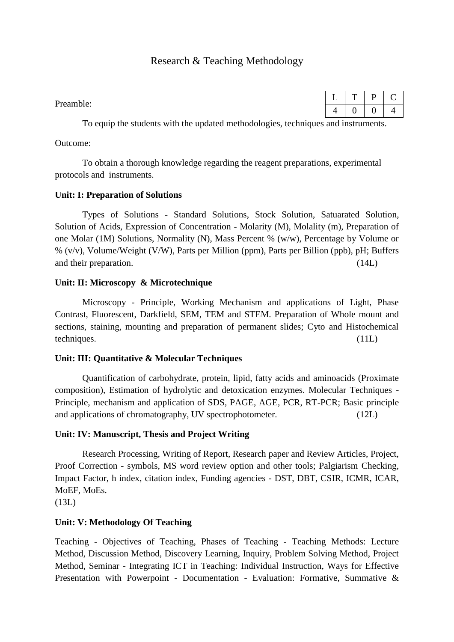# Research & Teaching Methodology

Preamble:

|   | u |    |
|---|---|----|
| - |   | ٠. |

To equip the students with the updated methodologies, techniques and instruments.

Outcome:

To obtain a thorough knowledge regarding the reagent preparations, experimental protocols and instruments.

## **Unit: I: Preparation of Solutions**

Types of Solutions - Standard Solutions, Stock Solution, Satuarated Solution, Solution of Acids, Expression of Concentration - Molarity (M), Molality (m), Preparation of one Molar (1M) Solutions, Normality (N), Mass Percent % (w/w), Percentage by Volume or % (v/v), Volume/Weight (V/W), Parts per Million (ppm), Parts per Billion (ppb), pH; Buffers and their preparation. (14L)

## **Unit: II: Microscopy & Microtechnique**

Microscopy - Principle, Working Mechanism and applications of Light, Phase Contrast, Fluorescent, Darkfield, SEM, TEM and STEM. Preparation of Whole mount and sections, staining, mounting and preparation of permanent slides; Cyto and Histochemical techniques. (11L)

## **Unit: III: Quantitative & Molecular Techniques**

Quantification of carbohydrate, protein, lipid, fatty acids and aminoacids (Proximate composition), Estimation of hydrolytic and detoxication enzymes. Molecular Techniques - Principle, mechanism and application of SDS, PAGE, AGE, PCR, RT-PCR; Basic principle and applications of chromatography, UV spectrophotometer. (12L)

## **Unit: IV: Manuscript, Thesis and Project Writing**

Research Processing, Writing of Report, Research paper and Review Articles, Project, Proof Correction - symbols, MS word review option and other tools; Palgiarism Checking, Impact Factor, h index, citation index, Funding agencies - DST, DBT, CSIR, ICMR, ICAR, MoEF, MoEs.

(13L)

## **Unit: V: Methodology Of Teaching**

Teaching - Objectives of Teaching, Phases of Teaching - Teaching Methods: Lecture Method, Discussion Method, Discovery Learning, Inquiry, Problem Solving Method, Project Method, Seminar - Integrating ICT in Teaching: Individual Instruction, Ways for Effective Presentation with Powerpoint - Documentation - Evaluation: Formative, Summative &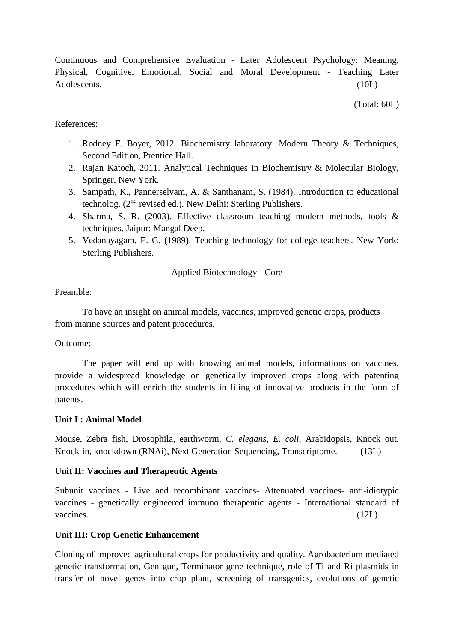Continuous and Comprehensive Evaluation - Later Adolescent Psychology: Meaning, Physical, Cognitive, Emotional, Social and Moral Development - Teaching Later Adolescents. (10L)

(Total: 60L)

#### References:

- 1. Rodney F. Boyer, 2012. Biochemistry laboratory: Modern Theory & Techniques, Second Edition, Prentice Hall.
- 2. Rajan Katoch, 2011. Analytical Techniques in Biochemistry & Molecular Biology, Springer, New York.
- 3. Sampath, K., Pannerselvam, A. & Santhanam, S. (1984). Introduction to educational technolog.  $(2^{nd}$  revised ed.). New Delhi: Sterling Publishers.
- 4. Sharma, S. R. (2003). Effective classroom teaching modern methods, tools & techniques. Jaipur: Mangal Deep.
- 5. Vedanayagam, E. G. (1989). Teaching technology for college teachers. New York: Sterling Publishers.

Applied Biotechnology - Core

#### Preamble:

To have an insight on animal models, vaccines, improved genetic crops, products from marine sources and patent procedures.

#### Outcome:

The paper will end up with knowing animal models, informations on vaccines, provide a widespread knowledge on genetically improved crops along with patenting procedures which will enrich the students in filing of innovative products in the form of patents.

#### **Unit I : Animal Model**

Mouse, Zebra fish, Drosophila, earthworm, *C. elegans*, *E. coli*, Arabidopsis, Knock out, Knock-in, knockdown (RNAi), Next Generation Sequencing, Transcriptome. (13L)

#### **Unit II: Vaccines and Therapeutic Agents**

Subunit vaccines - Live and recombinant vaccines- Attenuated vaccines- anti-idiotypic vaccines - genetically engineered immuno therapeutic agents - International standard of vaccines. (12L)

#### **Unit III: Crop Genetic Enhancement**

Cloning of improved agricultural crops for productivity and quality. Agrobacterium mediated genetic transformation, Gen gun, Terminator gene technique, role of Ti and Ri plasmids in transfer of novel genes into crop plant, screening of transgenics, evolutions of genetic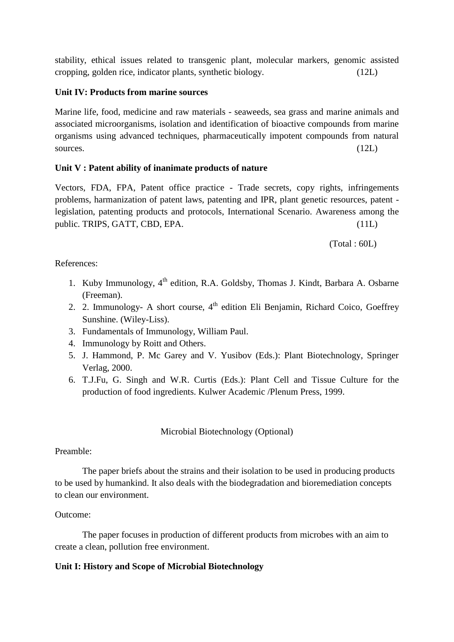stability, ethical issues related to transgenic plant, molecular markers, genomic assisted cropping, golden rice, indicator plants, synthetic biology. (12L)

#### **Unit IV: Products from marine sources**

Marine life, food, medicine and raw materials - seaweeds, sea grass and marine animals and associated microorganisms, isolation and identification of bioactive compounds from marine organisms using advanced techniques, pharmaceutically impotent compounds from natural sources. (12L)

## **Unit V : Patent ability of inanimate products of nature**

Vectors, FDA, FPA, Patent office practice - Trade secrets, copy rights, infringements problems, harmanization of patent laws, patenting and IPR, plant genetic resources, patent legislation, patenting products and protocols, International Scenario. Awareness among the public. TRIPS, GATT, CBD, EPA. (11L)

(Total : 60L)

#### References:

- 1. Kuby Immunology, 4<sup>th</sup> edition, R.A. Goldsby, Thomas J. Kindt, Barbara A. Osbarne (Freeman).
- 2. 2. Immunology- A short course,  $4<sup>th</sup>$  edition Eli Benjamin, Richard Coico, Goeffrey Sunshine. (Wiley-Liss).
- 3. Fundamentals of Immunology, William Paul.
- 4. Immunology by Roitt and Others.
- 5. J. Hammond, P. Mc Garey and V. Yusibov (Eds.): Plant Biotechnology, Springer Verlag, 2000.
- 6. T.J.Fu, G. Singh and W.R. Curtis (Eds.): Plant Cell and Tissue Culture for the production of food ingredients. Kulwer Academic /Plenum Press, 1999.

## Microbial Biotechnology (Optional)

## Preamble:

The paper briefs about the strains and their isolation to be used in producing products to be used by humankind. It also deals with the biodegradation and bioremediation concepts to clean our environment.

## Outcome:

The paper focuses in production of different products from microbes with an aim to create a clean, pollution free environment.

## **Unit I: History and Scope of Microbial Biotechnology**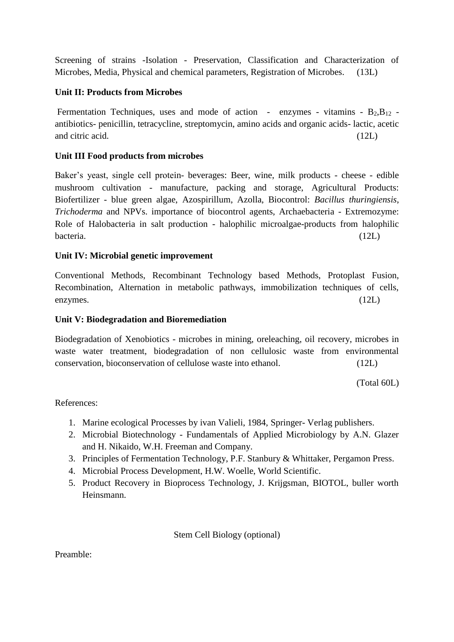Screening of strains -Isolation - Preservation, Classification and Characterization of Microbes, Media, Physical and chemical parameters, Registration of Microbes. (13L)

## **Unit II: Products from Microbes**

Fermentation Techniques, uses and mode of action - enzymes - vitamins -  $B_2, B_{12}$  antibiotics- penicillin, tetracycline, streptomycin, amino acids and organic acids- lactic, acetic and citric acid. (12L)

## **Unit III Food products from microbes**

Baker's yeast, single cell protein- beverages: Beer, wine, milk products - cheese - edible mushroom cultivation - manufacture, packing and storage, Agricultural Products: Biofertilizer - blue green algae, Azospirillum, Azolla, Biocontrol: *Bacillus thuringiensis*, *Trichoderma* and NPVs. importance of biocontrol agents, Archaebacteria - Extremozyme: Role of Halobacteria in salt production - halophilic microalgae-products from halophilic bacteria. (12L)

# **Unit IV: Microbial genetic improvement**

Conventional Methods, Recombinant Technology based Methods, Protoplast Fusion, Recombination, Alternation in metabolic pathways, immobilization techniques of cells, enzymes. (12L)

## **Unit V: Biodegradation and Bioremediation**

Biodegradation of Xenobiotics - microbes in mining, oreleaching, oil recovery, microbes in waste water treatment, biodegradation of non cellulosic waste from environmental conservation, bioconservation of cellulose waste into ethanol. (12L)

(Total 60L)

## References:

- 1. Marine ecological Processes by ivan Valieli, 1984, Springer- Verlag publishers.
- 2. Microbial Biotechnology Fundamentals of Applied Microbiology by A.N. Glazer and H. Nikaido, W.H. Freeman and Company.
- 3. Principles of Fermentation Technology, P.F. Stanbury & Whittaker, Pergamon Press.
- 4. Microbial Process Development, H.W. Woelle, World Scientific.
- 5. Product Recovery in Bioprocess Technology, J. Krijgsman, BIOTOL, buller worth Heinsmann.

Stem Cell Biology (optional)

Preamble: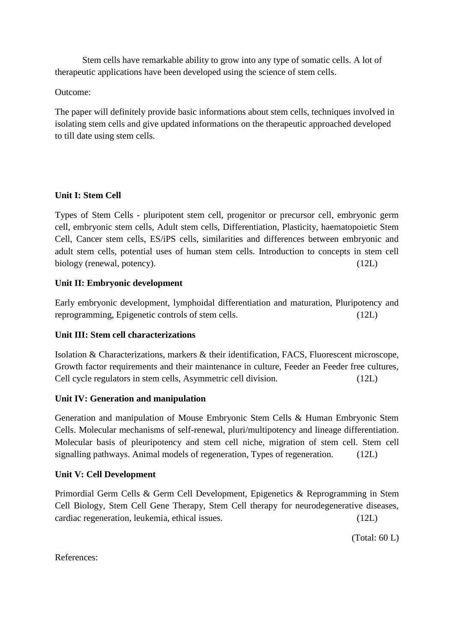Stem cells have remarkable ability to grow into any type of somatic cells. A lot of therapeutic applications have been developed using the science of stem cells.

Outcome:

The paper will definitely provide basic informations about stem cells, techniques involved in isolating stem cells and give updated informations on the therapeutic approached developed to till date using stem cells.

# **Unit I: Stem Cell**

Types of Stem Cells - pluripotent stem cell, progenitor or precursor cell, embryonic germ cell, embryonic stem cells, Adult stem cells, Differentiation, Plasticity, haematopoietic Stem Cell, Cancer stem cells, ES/iPS cells, similarities and differences between embryonic and adult stem cells, potential uses of human stem cells. Introduction to concepts in stem cell biology (renewal, potency). (12L)

# **Unit II: Embryonic development**

Early embryonic development, lymphoidal differentiation and maturation, Pluripotency and reprogramming, Epigenetic controls of stem cells. (12L)

# **Unit III: Stem cell characterizations**

Isolation & Characterizations, markers & their identification, FACS, Fluorescent microscope, Growth factor requirements and their maintenance in culture, Feeder an Feeder free cultures, Cell cycle regulators in stem cells, Asymmetric cell division. (12L)

## **Unit IV: Generation and manipulation**

Generation and manipulation of Mouse Embryonic Stem Cells & Human Embryonic Stem Cells. Molecular mechanisms of self-renewal, pluri/multipotency and lineage differentiation. Molecular basis of pleuripotency and stem cell niche, migration of stem cell. Stem cell signalling pathways. Animal models of regeneration, Types of regeneration. (12L)

## **Unit V: Cell Development**

Primordial Germ Cells & Germ Cell Development, Epigenetics & Reprogramming in Stem Cell Biology, Stem Cell Gene Therapy, Stem Cell therapy for neurodegenerative diseases, cardiac regeneration, leukemia, ethical issues. (12L)

(Total: 60 L)

References: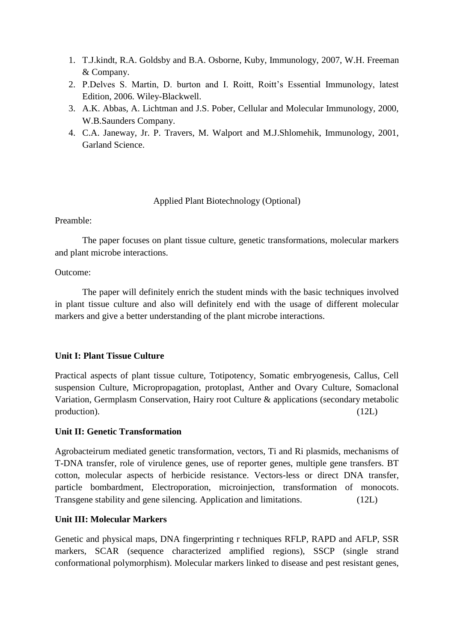- 1. T.J.kindt, R.A. Goldsby and B.A. Osborne, Kuby, Immunology, 2007, W.H. Freeman & Company.
- 2. P.Delves S. Martin, D. burton and I. Roitt, Roitt's Essential Immunology, latest Edition, 2006. Wiley-Blackwell.
- 3. A.K. Abbas, A. Lichtman and J.S. Pober, Cellular and Molecular Immunology, 2000, W.B.Saunders Company.
- 4. C.A. Janeway, Jr. P. Travers, M. Walport and M.J.Shlomehik, Immunology, 2001, Garland Science.

Applied Plant Biotechnology (Optional)

#### Preamble:

The paper focuses on plant tissue culture, genetic transformations, molecular markers and plant microbe interactions.

#### Outcome:

The paper will definitely enrich the student minds with the basic techniques involved in plant tissue culture and also will definitely end with the usage of different molecular markers and give a better understanding of the plant microbe interactions.

## **Unit I: Plant Tissue Culture**

Practical aspects of plant tissue culture, Totipotency, Somatic embryogenesis, Callus, Cell suspension Culture, Micropropagation, protoplast, Anther and Ovary Culture, Somaclonal Variation, Germplasm Conservation, Hairy root Culture & applications (secondary metabolic production). (12L)

## **Unit II: Genetic Transformation**

Agrobacteirum mediated genetic transformation, vectors, Ti and Ri plasmids, mechanisms of T-DNA transfer, role of virulence genes, use of reporter genes, multiple gene transfers. BT cotton, molecular aspects of herbicide resistance. Vectors-less or direct DNA transfer, particle bombardment, Electroporation, microinjection, transformation of monocots. Transgene stability and gene silencing. Application and limitations. (12L)

## **Unit III: Molecular Markers**

Genetic and physical maps, DNA fingerprinting r techniques RFLP, RAPD and AFLP, SSR markers, SCAR (sequence characterized amplified regions), SSCP (single strand conformational polymorphism). Molecular markers linked to disease and pest resistant genes,